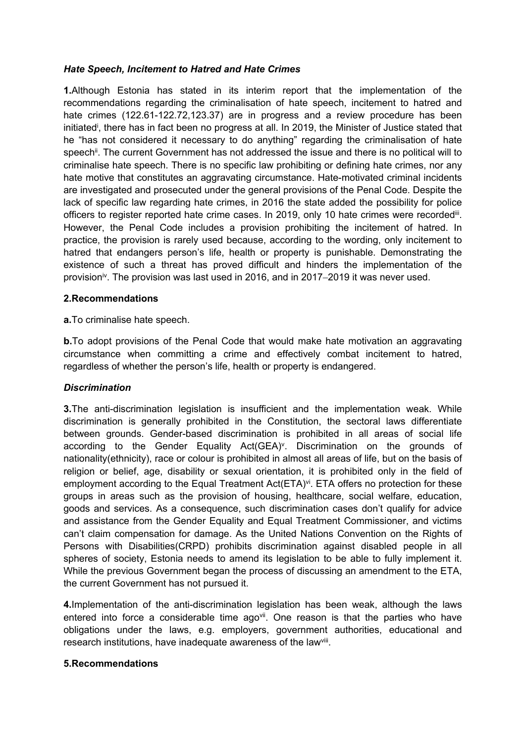## *Hate Speech, Incitement to Hatred and Hate Crimes*

**1.**Although Estonia has stated in its interim report that the implementation of the recommendations regarding the criminalisation of hate speech, incitement to hatred and hate crimes (122.61-122.72,123.37) are in progress and <sup>a</sup> review procedure has been initiated<sup>i</sup>, there has in fact been no progress at all. In 2019, the Minister of Justice stated that he "has not considered it necessary to do anything" regarding the criminalisation of hate speech<sup>ii</sup>. The current Government has not addressed the issue and there is no political will to criminalise hate speech. There is no specific law prohibiting or defining hate crimes, nor any hate motive that constitutes an aggravating circumstance. Hate-motivated criminal incidents are investigated and prosecuted under the general provisions of the Penal Code. Despite the lack of specific law regarding hate crimes, in 2016 the state added the possibility for police officers to register reported hate crime cases. In 2019, only 10 hate crimes were recorded<sup>iii</sup>. However, the Penal Code includes <sup>a</sup> provision prohibiting the incitement of hatred. In practice, the provision is rarely used because, according to the wording, only incitement to hatred that endangers person'<sup>s</sup> life, health or property is punishable. Demonstrating the existence of such <sup>a</sup> threat has proved difficult and hinders the implementation of the provision<sup>iv</sup>. The provision was last used in 2016, and in 2017–2019 it was never used.

### **2.Recommendations**

**a.**To criminalise hate speech.

**b.** To adopt provisions of the Penal Code that would make hate motivation an aggravating circumstance when committing <sup>a</sup> crime and effectively combat incitement to hatred, regardless of whether the person'<sup>s</sup> life, health or property is endangered.

### *Discrimination*

**3.**The anti-discrimination legislation is insufficient and the implementation weak. While discrimination is generally prohibited in the Constitution, the sectoral laws differentiate between grounds. Gender-based discrimination is prohibited in all areas of social life according to the Gender Equality Act(GEA)<sup>v</sup>. Discrimination on the grounds of nationality(ethnicity), race or colour is prohibited in almost all areas of life, but on the basis of religion or belief, age, disability or sexual orientation, it is prohibited only in the field of employment according to the Equal Treatment Act(ETA)<sup>vi</sup>. ETA offers no protection for these groups in areas such as the provision of housing, healthcare, social welfare, education, goods and services. As <sup>a</sup> consequence, such discrimination cases don't qualify for advice and assistance from the Gender Equality and Equal Treatment Commissioner, and victims can't claim compensation for damage. As the United Nations Convention on the Rights of Persons with Disabilities(CRPD) prohibits discrimination against disabled people in all spheres of society, Estonia needs to amend its legislation to be able to fully implement it. While the previous Government began the process of discussing an amendment to the ETA, the current Government has not pursued it.

**4.**Implementation of the anti-discrimination legislation has been weak, although the laws entered into force a considerable time ago<sup>vii</sup>. One reason is that the parties who have obligations under the laws, e.g. employers, government authorities, educational and research institutions, have inadequate awareness of the law<sup>viii</sup>.

### **5.Recommendations**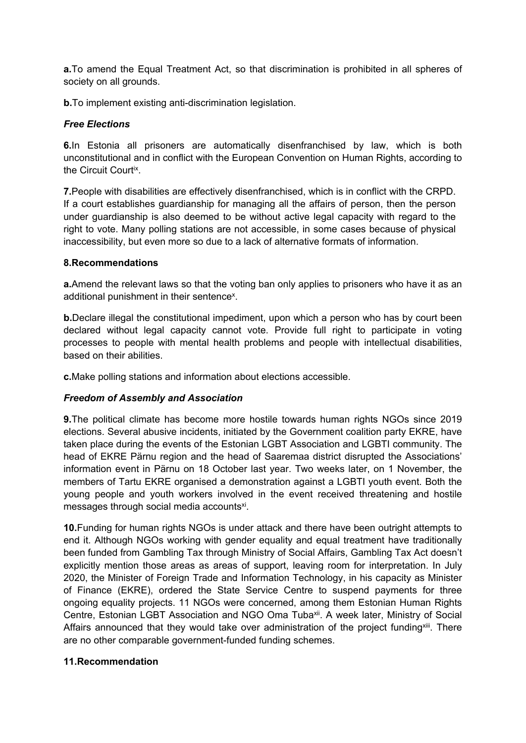**a.**To amend the Equal Treatment Act, so that discrimination is prohibited in all spheres of society on all grounds.

**b.**To implement existing anti-discrimination legislation.

## *Free Elections*

**6.**In Estonia all prisoners are automatically disenfranchised by law, which is both unconstitutional and in conflict with the European Convention on Human Rights, according to the Circuit Court<sup>ix</sup>.

**7.**People with disabilities are effectively disenfranchised, which is in conflict with the CRPD. If <sup>a</sup> court establishes guardianship for managing all the affairs of person, then the person under guardianship is also deemed to be without active legal capacity with regard to the right to vote. Many polling stations are not accessible, in some cases because of physical inaccessibility, but even more so due to <sup>a</sup> lack of alternative formats of information.

## **8.Recommendations**

**a.**Amend the relevant laws so that the voting ban only applies to prisoners who have it as an additional punishment in their sentence<sup>x</sup>.

**b.**Declare illegal the constitutional impediment, upon which <sup>a</sup> person who has by court been declared without legal capacity cannot vote. Provide full right to participate in voting processes to people with mental health problems and people with intellectual disabilities, based on their abilities.

**c.**Make polling stations and information about elections accessible.

# *Freedom of Assembly and Association*

**9.**The political climate has become more hostile towards human rights NGOs since 2019 elections. Several abusive incidents, initiated by the Government coalition party EKRE, have taken place during the events of the Estonian LGBT Association and LGBTI community. The head of EKRE Pärnu region and the head of Saaremaa district disrupted the Associations' information event in Pärnu on 18 October last year. Two weeks later, on 1 November, the members of Tartu EKRE organised <sup>a</sup> demonstration against <sup>a</sup> LGBTI youth event. Both the young people and youth workers involved in the event received threatening and hostile messages through social media accounts<sup>xi</sup>.

**10.**Funding for human rights NGOs is under attack and there have been outright attempts to end it. Although NGOs working with gender equality and equal treatment have traditionally been funded from Gambling Tax through Ministry of Social Affairs, Gambling Tax Act doesn't explicitly mention those areas as areas of support, leaving room for interpretation. In July 2020, the Minister of Foreign Trade and Information Technology, in his capacity as Minister of Finance (EKRE), ordered the State Service Centre to suspend payments for three ongoing equality projects. 11 NGOs were concerned, among them Estonian Human Rights Centre, Estonian LGBT Association and NGO Oma Tuba<sup>xii</sup>. A week later, Ministry of Social Affairs announced that they would take over administration of the project funding<sup>xiii</sup>. There are no other comparable government-funded funding schemes.

### **11.Recommendation**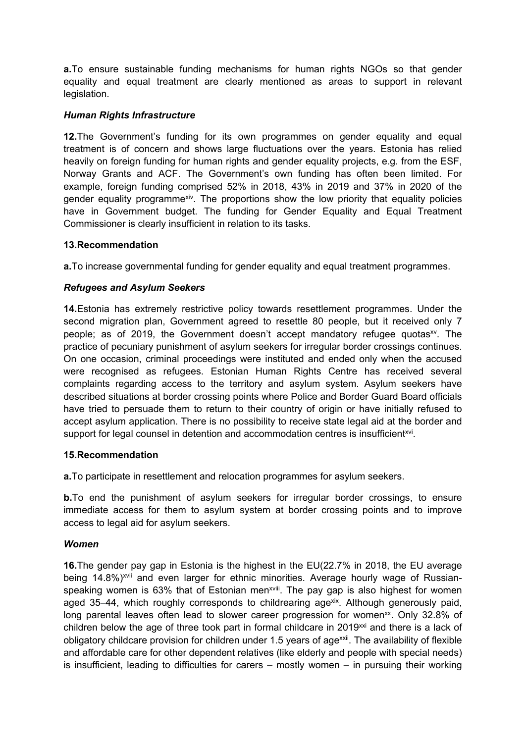**a.**To ensure sustainable funding mechanisms for human rights NGOs so that gender equality and equal treatment are clearly mentioned as areas to support in relevant legislation.

## *Human Rights Infrastructure*

**12.**The Government's funding for its own programmes on gender equality and equal treatment is of concern and shows large fluctuations over the years. Estonia has relied heavily on foreign funding for human rights and gender equality projects, e.g. from the ESF, Norway Grants and ACF. The Government'<sup>s</sup> own funding has often been limited. For example, foreign funding comprised 52% in 2018, 43% in 2019 and 37% in 2020 of the gender equality programme<sup>xiv</sup>. The proportions show the low priority that equality policies have in Government budget. The funding for Gender Equality and Equal Treatment Commissioner is clearly insufficient in relation to its tasks.

## **13.Recommendation**

**a.**To increase governmental funding for gender equality and equal treatment programmes.

## *Refugees and Asylum Seekers*

**14.**Estonia has extremely restrictive policy towards resettlement programmes. Under the second migration plan, Government agreed to resettle 80 people, but it received only 7 people; as of 2019, the Government doesn't accept mandatory refugee quotas<sup>xv</sup>. The practice of pecuniary punishment of asylum seekers for irregular border crossings continues. On one occasion, criminal proceedings were instituted and ended only when the accused were recognised as refugees. Estonian Human Rights Centre has received several complaints regarding access to the territory and asylum system. Asylum seekers have described situations at border crossing points where Police and Border Guard Board officials have tried to persuade them to return to their country of origin or have initially refused to accept asylum application. There is no possibility to receive state legal aid at the border and support for legal counsel in detention and accommodation centres is insufficient $^{{\mathsf{x}} \mathsf{v} \mathsf{i}}$ .

### **15.Recommendation**

**a.**To participate in resettlement and relocation programmes for asylum seekers.

**b.**To end the punishment of asylum seekers for irregular border crossings, to ensure immediate access for them to asylum system at border crossing points and to improve access to legal aid for asylum seekers.

### *Women*

**16.**The gender pay gap in Estonia is the highest in the EU(22.7% in 2018, the EU average being 14.8%)<sup>xvii</sup> and even larger for ethnic minorities. Average hourly wage of Russianspeaking women is 63% that of Estonian men<sup>xviii</sup>. The pay gap is also highest for women aged 35–44, which roughly corresponds to childrearing age<sup>xix</sup>. Although generously paid, long parental leaves often lead to slower career progression for women<sup>xx</sup>. Only 32.8% of children below the age of three took part in formal childcare in 2019 $^{\text{xxi}}$  and there is a lack of obligatory childcare provision for children under 1.5 years of age<sup>xxii</sup>. The availability of flexible and affordable care for other dependent relatives (like elderly and people with special needs) is insufficient, leading to difficulties for carers – mostly women – in pursuing their working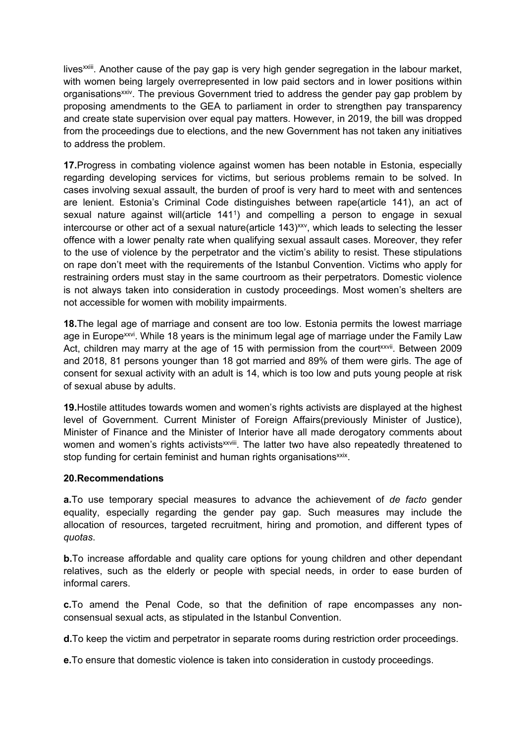lives<sup>xxiii</sup>. Another cause of the pay gap is very high gender segregation in the labour market, with women being largely overrepresented in low paid sectors and in lower positions within organisations<sup>xxiv</sup>. The previous Government tried to address the gender pay gap problem by proposing amendments to the GEA to parliament in order to strengthen pay transparency and create state supervision over equal pay matters. However, in 2019, the bill was dropped from the proceedings due to elections, and the new Government has not taken any initiatives to address the problem.

**17.**Progress in combating violence against women has been notable in Estonia, especially regarding developing services for victims, but serious problems remain to be solved. In cases involving sexual assault, the burden of proof is very hard to meet with and sentences are lenient. Estonia'<sup>s</sup> Criminal Code distinguishes between rape(article 141), an act of sexual nature against will(article 141<sup>1</sup> ) and compelling <sup>a</sup> person to engage in sexual intercourse or other act of a sexual nature(article 143) $^{\rm xxv}$ , which leads to selecting the lesser offence with <sup>a</sup> lower penalty rate when qualifying sexual assault cases. Moreover, they refer to the use of violence by the perpetrator and the victim'<sup>s</sup> ability to resist. These stipulations on rape don't meet with the requirements of the Istanbul Convention. Victims who apply for restraining orders must stay in the same courtroom as their perpetrators. Domestic violence is not always taken into consideration in custody proceedings. Most women'<sup>s</sup> shelters are not accessible for women with mobility impairments.

**18.**The legal age of marriage and consent are too low. Estonia permits the lowest marriage age in Europe<sup>xxvi</sup>. While 18 years is the minimum legal age of marriage under the Family Law Act, children may marry at the age of 15 with permission from the court<sup>xxvii</sup>. Between 2009 and 2018, 81 persons younger than 18 got married and 89% of them were girls. The age of consent for sexual activity with an adult is 14, which is too low and puts young people at risk of sexual abuse by adults.

**19.**Hostile attitudes towards women and women'<sup>s</sup> rights activists are displayed at the highest level of Government. Current Minister of Foreign Affairs(previously Minister of Justice), Minister of Finance and the Minister of Interior have all made derogatory comments about women and women's rights activists<sup>xxviii</sup>. The latter two have also repeatedly threatened to stop funding for certain feminist and human rights organisations $^{\mathsf{x} \mathsf{x} \mathsf{i} \mathsf{x}}$ .

### **20.Recommendations**

**a.**To use temporary special measures to advance the achievement of *de facto* gender equality, especially regarding the gender pay gap. Such measures may include the allocation of resources, targeted recruitment, hiring and promotion, and different types of *quotas*.

**b.**To increase affordable and quality care options for young children and other dependant relatives, such as the elderly or people with special needs, in order to ease burden of informal carers.

**c.**To amend the Penal Code, so that the definition of rape encompasses any nonconsensual sexual acts, as stipulated in the Istanbul Convention.

**d.**To keep the victim and perpetrator in separate rooms during restriction order proceedings.

**e.**To ensure that domestic violence is taken into consideration in custody proceedings.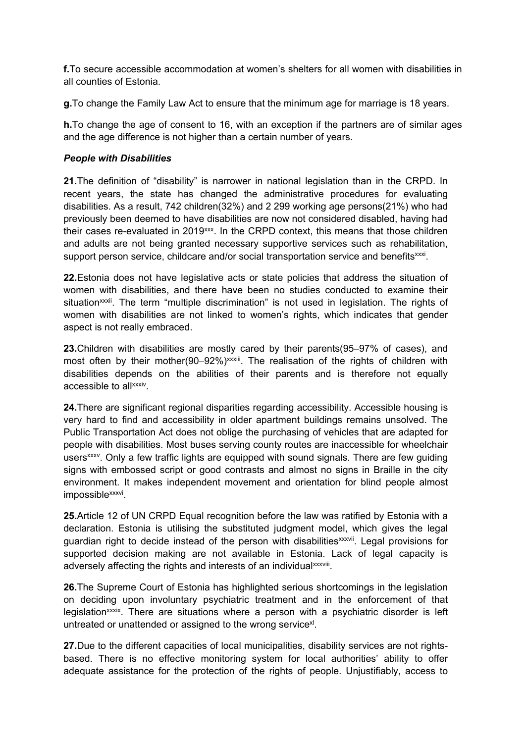**f.**To secure accessible accommodation at women's shelters for all women with disabilities in all counties of Estonia.

**g.**To change the Family Law Act to ensure that the minimum age for marriage is 18 years.

**h.**To change the age of consent to 16, with an exception if the partners are of similar ages and the age difference is not higher than <sup>a</sup> certain number of years.

## *People with Disabilities*

**21.**The definition of "disability" is narrower in national legislation than in the CRPD. In recent years, the state has changed the administrative procedures for evaluating disabilities. As <sup>a</sup> result, 742 children(32%) and 2 299 working age persons(21%) who had previously been deemed to have disabilities are now not considered disabled, having had their cases re-evaluated in 2019¤¤. In the CRPD context, this means that those children and adults are not being granted necessary supportive services such as rehabilitation, support person service, childcare and/or social transportation service and benefits<sup>xxxi</sup>.

**22.**Estonia does not have legislative acts or state policies that address the situation of women with disabilities, and there have been no studies conducted to examine their situation<sup>xxxii</sup>. The term "multiple discrimination" is not used in legislation. The rights of women with disabilities are not linked to women'<sup>s</sup> rights, which indicates that gender aspect is not really embraced.

**23.**Children with disabilities are mostly cared by their parents(95–97% of cases), and most often by their mother(90–92%)<sup>xxxiii</sup>. The realisation of the rights of children with disabilities depends on the abilities of their parents and is therefore not equally accessible to all<sup>xxxiv</sup>.

**24.**There are significant regional disparities regarding accessibility. Accessible housing is very hard to find and accessibility in older apartment buildings remains unsolved. The Public Transportation Act does not oblige the purchasing of vehicles that are adapted for people with disabilities. Most buses serving county routes are inaccessible for wheelchair users<sup>xxxv</sup>. Only a few traffic lights are equipped with sound signals. There are few guiding signs with embossed script or good contrasts and almost no signs in Braille in the city environment. It makes independent movement and orientation for blind people almost impossible<sup>xxxvi</sup>.

**25.**Article 12 of UN CRPD Equal recognition before the law was ratified by Estonia with <sup>a</sup> declaration. Estonia is utilising the substituted judgment model, which gives the legal guardian right to decide instead of the person with disabilities<sup>xxxvii</sup>. Legal provisions for supported decision making are not available in Estonia. Lack of legal capacity is adversely affecting the rights and interests of an individual<sup>xxxviii</sup>.

**26.**The Supreme Court of Estonia has highlighted serious shortcomings in the legislation on deciding upon involuntary psychiatric treatment and in the enforcement of that legislation<sup>xxxix</sup>. There are situations where a person with a psychiatric disorder is left untreated or unattended or assigned to the wrong service $^{\text{\tiny{X}}!}.$ 

**27.**Due to the different capacities of local municipalities, disability services are not rightsbased. There is no effective monitoring system for local authorities' ability to offer adequate assistance for the protection of the rights of people. Unjustifiably, access to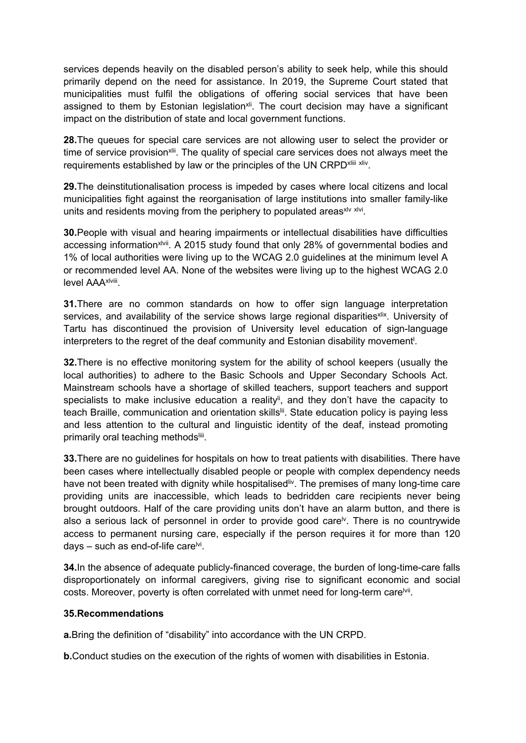services depends heavily on the disabled person'<sup>s</sup> ability to seek help, while this should primarily depend on the need for assistance. In 2019, the Supreme Court stated that municipalities must fulfil the obligations of offering social services that have been assigned to them by Estonian legislation<sup>xii</sup>. The court decision may have a significant impact on the distribution of state and local government functions.

**28.**The queues for special care services are not allowing user to select the provider or time of service provision<sup>xlii</sup>. The quality of special care services does not always meet the requirements established by law or the principles of the UN CRPD<sup>xliii xliv</sup>.

**29.**The deinstitutionalisation process is impeded by cases where local citizens and local municipalities fight against the reorganisation of large institutions into smaller family-like units and residents moving from the periphery to populated areas<sup>xlv xlvi</sup>.

**30.**People with visual and hearing impairments or intellectual disabilities have difficulties accessing information<sup>xlvii</sup>. A 2015 study found that only 28% of governmental bodies and 1% of local authorities were living up to the WCAG 2.0 guidelines at the minimum level A or recommended level AA. None of the websites were living up to the highest WCAG 2.0 level AAA<sup>xlviii</sup>.

**31.**There are no common standards on how to offer sign language interpretation services, and availability of the service shows large regional disparities<sup>xlix</sup>. University of Tartu has discontinued the provision of University level education of sign-language interpreters to the regret of the deaf community and Estonian disability movement l .

**32.**There is no effective monitoring system for the ability of school keepers (usually the local authorities) to adhere to the Basic Schools and Upper Secondary Schools Act. Mainstream schools have <sup>a</sup> shortage of skilled teachers, support teachers and support specialists to make inclusive education a reality<sup>li</sup>, and they don't have the capacity to teach Braille, communication and orientation skills<sup>lii</sup>. State education policy is paying less and less attention to the cultural and linguistic identity of the deaf, instead promoting primarily oral teaching methods<sup>liii</sup>.

**33.**There are no guidelines for hospitals on how to treat patients with disabilities. There have been cases where intellectually disabled people or people with complex dependency needs have not been treated with dignity while hospitalised<sup>liv</sup>. The premises of many long-time care providing units are inaccessible, which leads to bedridden care recipients never being brought outdoors. Half of the care providing units don't have an alarm button, and there is also a serious lack of personnel in order to provide good care<sup>lv</sup>. There is no countrywide access to permanent nursing care, especially if the person requires it for more than 120 days – such as end-of-life care<sup>lvi</sup>.

**34.**In the absence of adequate publicly-financed coverage, the burden of long-time-care falls disproportionately on informal caregivers, giving rise to significant economic and social costs. Moreover, poverty is often correlated with unmet need for long-term care<sup>lvii</sup>.

#### **35.Recommendations**

**a.**Bring the definition of "disability" into accordance with the UN CRPD.

**b.**Conduct studies on the execution of the rights of women with disabilities in Estonia.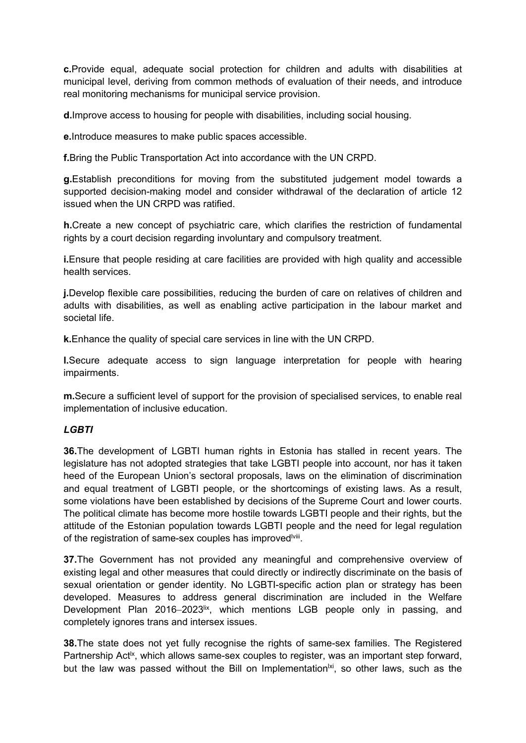**c.**Provide equal, adequate social protection for children and adults with disabilities at municipal level, deriving from common methods of evaluation of their needs, and introduce real monitoring mechanisms for municipal service provision.

**d.**Improve access to housing for people with disabilities, including social housing.

**e.**Introduce measures to make public spaces accessible.

**f.**Bring the Public Transportation Act into accordance with the UN CRPD.

**g.**Establish preconditions for moving from the substituted judgement model towards <sup>a</sup> supported decision-making model and consider withdrawal of the declaration of article 12 issued when the UN CRPD was ratified.

**h.**Create <sup>a</sup> new concept of psychiatric care, which clarifies the restriction of fundamental rights by <sup>a</sup> court decision regarding involuntary and compulsory treatment.

**i.**Ensure that people residing at care facilities are provided with high quality and accessible health services.

**j.**Develop flexible care possibilities, reducing the burden of care on relatives of children and adults with disabilities, as well as enabling active participation in the labour market and societal life.

**k.**Enhance the quality of special care services in line with the UN CRPD.

**l.**Secure adequate access to sign language interpretation for people with hearing impairments.

**m.**Secure <sup>a</sup> sufficient level of support for the provision of specialised services, to enable real implementation of inclusive education.

### *LGBTI*

**36.**The development of LGBTI human rights in Estonia has stalled in recent years. The legislature has not adopted strategies that take LGBTI people into account, nor has it taken heed of the European Union'<sup>s</sup> sectoral proposals, laws on the elimination of discrimination and equal treatment of LGBTI people, or the shortcomings of existing laws. As <sup>a</sup> result, some violations have been established by decisions of the Supreme Court and lower courts. The political climate has become more hostile towards LGBTI people and their rights, but the attitude of the Estonian population towards LGBTI people and the need for legal regulation of the registration of same-sex couples has improved<sup>lviii</sup>.

**37.**The Government has not provided any meaningful and comprehensive overview of existing legal and other measures that could directly or indirectly discriminate on the basis of sexual orientation or gender identity. No LGBTI-specific action plan or strategy has been developed. Measures to address general discrimination are included in the Welfare Development Plan 2016–2023<sup>ix</sup>, which mentions LGB people only in passing, and completely ignores trans and intersex issues.

**38.**The state does not yet fully recognise the rights of same-sex families. The Registered Partnership Act<sup>ix</sup>, which allows same-sex couples to register, was an important step forward, but the law was passed without the Bill on Implementation<sup>lxi</sup>, so other laws, such as the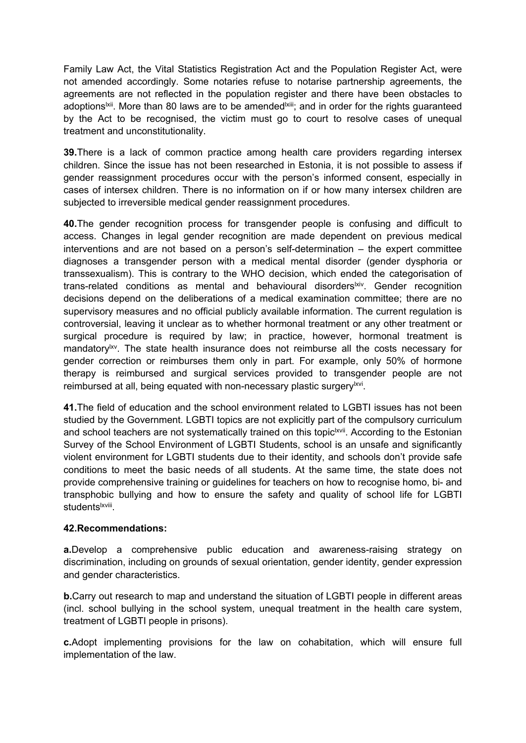Family Law Act, the Vital Statistics Registration Act and the Population Register Act, were not amended accordingly. Some notaries refuse to notarise partnership agreements, the agreements are not reflected in the population register and there have been obstacles to adoptions<sup>lxii</sup>. More than 80 laws are to be amended<sup>lxiii</sup>; and in order for the rights guaranteed by the Act to be recognised, the victim must go to court to resolve cases of unequal treatment and unconstitutionality.

**39.**There is <sup>a</sup> lack of common practice among health care providers regarding intersex children. Since the issue has not been researched in Estonia, it is not possible to assess if gender reassignment procedures occur with the person'<sup>s</sup> informed consent, especially in cases of intersex children. There is no information on if or how many intersex children are subjected to irreversible medical gender reassignment procedures.

**40.**The gender recognition process for transgender people is confusing and difficult to access. Changes in legal gender recognition are made dependent on previous medical interventions and are not based on <sup>a</sup> person'<sup>s</sup> self-determination – the expert committee diagnoses <sup>a</sup> transgender person with <sup>a</sup> medical mental disorder (gender dysphoria or transsexualism). This is contrary to the WHO decision, which ended the categorisation of trans-related conditions as mental and behavioural disorders<sup>lxiv</sup>. Gender recognition decisions depend on the deliberations of <sup>a</sup> medical examination committee; there are no supervisory measures and no official publicly available information. The current regulation is controversial, leaving it unclear as to whether hormonal treatment or any other treatment or surgical procedure is required by law; in practice, however, hormonal treatment is mandatory<sup>lxv</sup>. The state health insurance does not reimburse all the costs necessary for gender correction or reimburses them only in part. For example, only 50% of hormone therapy is reimbursed and surgical services provided to transgender people are not reimbursed at all, being equated with non-necessary plastic surgery<sup>lxvi</sup>.

**41.**The field of education and the school environment related to LGBTI issues has not been studied by the Government. LGBTI topics are not explicitly part of the compulsory curriculum and school teachers are not systematically trained on this topic<sup>lxvii</sup>. According to the Estonian Survey of the School Environment of LGBTI Students, school is an unsafe and significantly violent environment for LGBTI students due to their identity, and schools don't provide safe conditions to meet the basic needs of all students. At the same time, the state does not provide comprehensive training or guidelines for teachers on how to recognise homo, bi- and transphobic bullying and how to ensure the safety and quality of school life for LGBTI students<sup>lxviii</sup>.

# **42.Recommendations:**

**a.**Develop <sup>a</sup> comprehensive public education and awareness-raising strategy on discrimination, including on grounds of sexual orientation, gender identity, gender expression and gender characteristics.

**b.** Carry out research to map and understand the situation of LGBTI people in different areas (incl. school bullying in the school system, unequal treatment in the health care system, treatment of LGBTI people in prisons).

**c.**Adopt implementing provisions for the law on cohabitation, which will ensure full implementation of the law.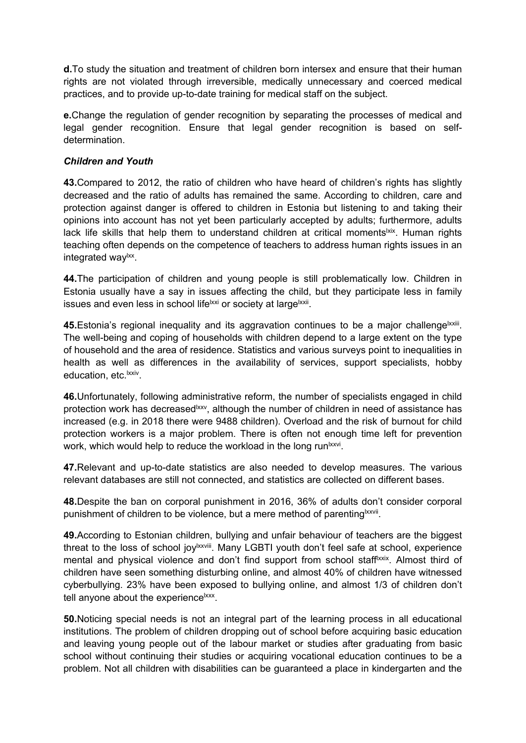**d.**To study the situation and treatment of children born intersex and ensure that their human rights are not violated through irreversible, medically unnecessary and coerced medical practices, and to provide up-to-date training for medical staff on the subject.

**e.**Change the regulation of gender recognition by separating the processes of medical and legal gender recognition. Ensure that legal gender recognition is based on selfdetermination.

### *Children and Youth*

**43.**Compared to 2012, the ratio of children who have heard of children'<sup>s</sup> rights has slightly decreased and the ratio of adults has remained the same. According to children, care and protection against danger is offered to children in Estonia but listening to and taking their opinions into account has not yet been particularly accepted by adults; furthermore, adults lack life skills that help them to understand children at critical moments<sup>lxix</sup>. Human rights teaching often depends on the competence of teachers to address human rights issues in an integrated way<sup>ıxx</sup>.

**44.**The participation of children and young people is still problematically low. Children in Estonia usually have <sup>a</sup> say in issues affecting the child, but they participate less in family issues and even less in school life<sup>lxxi</sup> or society at large<sup>lxxii</sup>.

**45.**Estonia's regional inequality and its aggravation continues to be a major challenge<sup>lxxiii</sup>. The well-being and coping of households with children depend to <sup>a</sup> large extent on the type of household and the area of residence. Statistics and various surveys point to inequalities in health as well as differences in the availability of services, support specialists, hobby education, etc.<sup>lxxiv</sup>.

**46.**Unfortunately, following administrative reform, the number of specialists engaged in child protection work has decreased<sup>lxxv</sup>, although the number of children in need of assistance has increased (e.g. in 2018 there were 9488 children). Overload and the risk of burnout for child protection workers is <sup>a</sup> major problem. There is often not enough time left for prevention work, which would help to reduce the workload in the long run<sup>lxxvi</sup>.

**47.**Relevant and up-to-date statistics are also needed to develop measures. The various relevant databases are still not connected, and statistics are collected on different bases.

**48.**Despite the ban on corporal punishment in 2016, 36% of adults don't consider corporal punishment of children to be violence, but a mere method of parenting<sup>lxxvii</sup>.

**49.**According to Estonian children, bullying and unfair behaviour of teachers are the biggest threat to the loss of school joy<sup>lxxviii</sup>. Many LGBTI youth don't feel safe at school, experience mental and physical violence and don't find support from school staff<sup>lxxix</sup>. Almost third of children have seen something disturbing online, and almost 40% of children have witnessed cyberbullying. 23% have been exposed to bullying online, and almost 1/3 of children don't tell anyone about the experience<sup>lxxx</sup>.

**50.**Noticing special needs is not an integral part of the learning process in all educational institutions. The problem of children dropping out of school before acquiring basic education and leaving young people out of the labour market or studies after graduating from basic school without continuing their studies or acquiring vocational education continues to be <sup>a</sup> problem. Not all children with disabilities can be guaranteed <sup>a</sup> place in kindergarten and the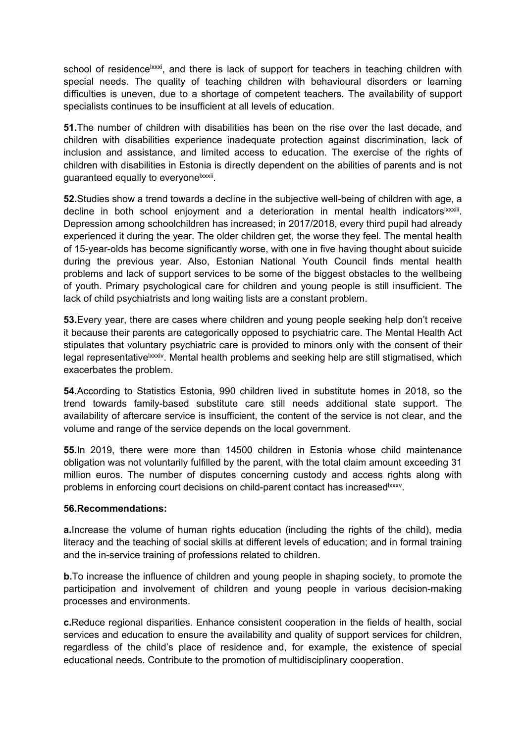school of residence<sup>lxxxi</sup>, and there is lack of support for teachers in teaching children with special needs. The quality of teaching children with behavioural disorders or learning difficulties is uneven, due to <sup>a</sup> shortage of competent teachers. The availability of support specialists continues to be insufficient at all levels of education.

**51.**The number of children with disabilities has been on the rise over the last decade, and children with disabilities experience inadequate protection against discrimination, lack of inclusion and assistance, and limited access to education. The exercise of the rights of children with disabilities in Estonia is directly dependent on the abilities of parents and is not guaranteed equally to everyone<sup>lxxxii</sup>.

**52.**Studies show <sup>a</sup> trend towards <sup>a</sup> decline in the subjective well-being of children with age, <sup>a</sup> decline in both school enjoyment and a deterioration in mental health indicators<sup>lxxxiii</sup>. Depression among schoolchildren has increased; in 2017/2018, every third pupil had already experienced it during the year. The older children get, the worse they feel. The mental health of 15-year-olds has become significantly worse, with one in five having thought about suicide during the previous year. Also, Estonian National Youth Council finds mental health problems and lack of support services to be some of the biggest obstacles to the wellbeing of youth. Primary psychological care for children and young people is still insufficient. The lack of child psychiatrists and long waiting lists are <sup>a</sup> constant problem.

**53.**Every year, there are cases where children and young people seeking help don't receive it because their parents are categorically opposed to psychiatric care. The Mental Health Act stipulates that voluntary psychiatric care is provided to minors only with the consent of their legal representative<sup>lxxxiv</sup>. Mental health problems and seeking help are still stigmatised, which exacerbates the problem.

**54.**According to Statistics Estonia, 990 children lived in substitute homes in 2018, so the trend towards family-based substitute care still needs additional state support. The availability of aftercare service is insufficient, the content of the service is not clear, and the volume and range of the service depends on the local government.

**55.**In 2019, there were more than 14500 children in Estonia whose child maintenance obligation was not voluntarily fulfilled by the parent, with the total claim amount exceeding 31 million euros. The number of disputes concerning custody and access rights along with problems in enforcing court decisions on child-parent contact has increased<sup>lxxxv</sup>.

### **56.Recommendations:**

**a.**Increase the volume of human rights education (including the rights of the child), media literacy and the teaching of social skills at different levels of education; and in formal training and the in-service training of professions related to children.

**b.**To increase the influence of children and young people in shaping society, to promote the participation and involvement of children and young people in various decision-making processes and environments.

**c.**Reduce regional disparities. Enhance consistent cooperation in the fields of health, social services and education to ensure the availability and quality of support services for children, regardless of the child'<sup>s</sup> place of residence and, for example, the existence of special educational needs. Contribute to the promotion of multidisciplinary cooperation.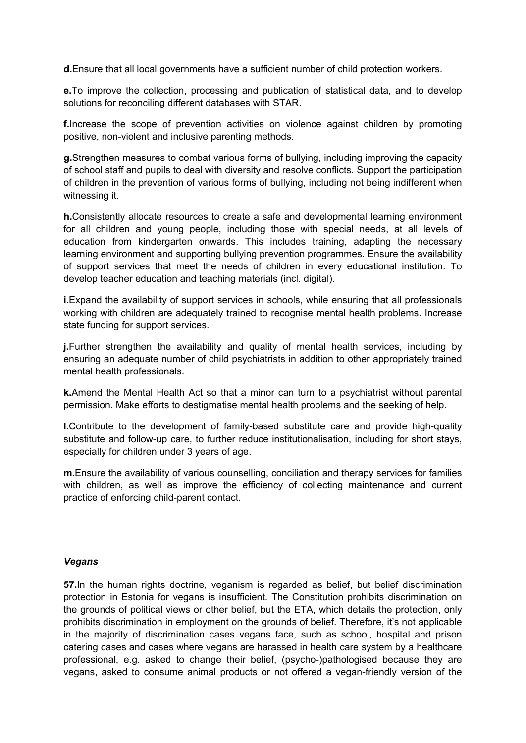**d.**Ensure that all local governments have <sup>a</sup> sufficient number of child protection workers.

**e.**To improve the collection, processing and publication of statistical data, and to develop solutions for reconciling different databases with STAR.

**f.**Increase the scope of prevention activities on violence against children by promoting positive, non-violent and inclusive parenting methods.

**g.**Strengthen measures to combat various forms of bullying, including improving the capacity of school staff and pupils to deal with diversity and resolve conflicts. Support the participation of children in the prevention of various forms of bullying, including not being indifferent when witnessing it.

**h.**Consistently allocate resources to create <sup>a</sup> safe and developmental learning environment for all children and young people, including those with special needs, at all levels of education from kindergarten onwards. This includes training, adapting the necessary learning environment and supporting bullying prevention programmes. Ensure the availability of support services that meet the needs of children in every educational institution. To develop teacher education and teaching materials (incl. digital).

**i.**Expand the availability of support services in schools, while ensuring that all professionals working with children are adequately trained to recognise mental health problems. Increase state funding for support services.

**j.**Further strengthen the availability and quality of mental health services, including by ensuring an adequate number of child psychiatrists in addition to other appropriately trained mental health professionals.

**k.**Amend the Mental Health Act so that <sup>a</sup> minor can turn to <sup>a</sup> psychiatrist without parental permission. Make efforts to destigmatise mental health problems and the seeking of help.

**l.**Contribute to the development of family-based substitute care and provide high-quality substitute and follow-up care, to further reduce institutionalisation, including for short stays, especially for children under 3 years of age.

**m.**Ensure the availability of various counselling, conciliation and therapy services for families with children, as well as improve the efficiency of collecting maintenance and current practice of enforcing child-parent contact.

### *Vegans*

**57.**In the human rights doctrine, veganism is regarded as belief, but belief discrimination protection in Estonia for vegans is insufficient. The Constitution prohibits discrimination on the grounds of political views or other belief, but the ETA, which details the protection, only prohibits discrimination in employment on the grounds of belief. Therefore, it'<sup>s</sup> not applicable in the majority of discrimination cases vegans face, such as school, hospital and prison catering cases and cases where vegans are harassed in health care system by <sup>a</sup> healthcare professional, e.g. asked to change their belief, (psycho-)pathologised because they are vegans, asked to consume animal products or not offered <sup>a</sup> vegan-friendly version of the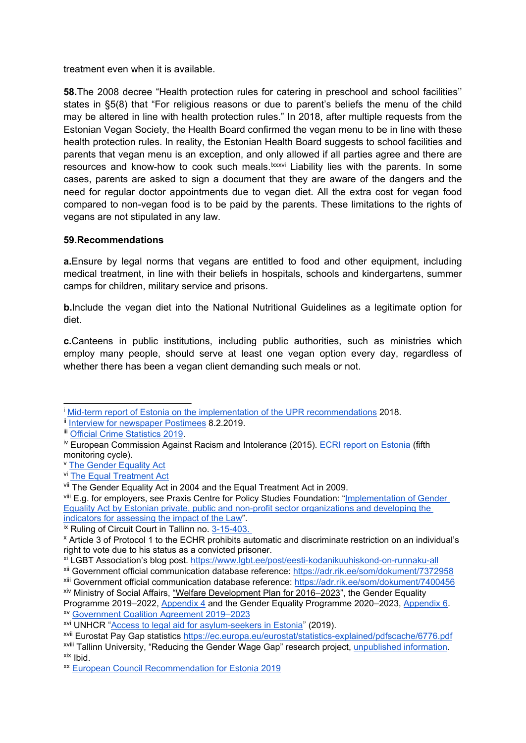treatment even when it is available.

**58.**The 2008 decree "Health protection rules for catering in preschool and school facilities'' states in §5(8) that "For religious reasons or due to parent'<sup>s</sup> beliefs the menu of the child may be altered in line with health protection rules." In 2018, after multiple requests from the Estonian Vegan Society, the Health Board confirmed the vegan menu to be in line with these health protection rules. In reality, the Estonian Health Board suggests to school facilities and parents that vegan menu is an exception, and only allowed if all parties agree and there are resources and know-how to cook such meals.<sup>lxxxvi</sup> Liability lies with the parents. In some cases, parents are asked to sign <sup>a</sup> document that they are aware of the dangers and the need for regular doctor appointments due to vegan diet. All the extra cost for vegan food compared to non-vegan food is to be paid by the parents. These limitations to the rights of vegans are not stipulated in any law.

## **59.Recommendations**

**a.**Ensure by legal norms that vegans are entitled to food and other equipment, including medical treatment, in line with their beliefs in hospitals, schools and kindergartens, summer camps for children, military service and prisons.

**b.**Include the vegan diet into the National Nutritional Guidelines as <sup>a</sup> legitimate option for diet.

**c.**Canteens in public institutions, including public authorities, such as ministries which employ many people, should serve at least one vegan option every day, regardless of whether there has been <sup>a</sup> vegan client demanding such meals or not.

<sup>i</sup> Mid-term report of Estonia on the [implementation](https://vm.ee/sites/default/files/content-editors/legal/upr_2018_vahearuanne_.pdf) of the UPR recommendations 2018.

Ill <u>Interview for [newspaper](https://tehnika.postimees.ee/6518712/eesti-vilistab-brusseli-noudele-kriminaliseerida-vihakone) Postimees</u> 8.2.2019.

**iii** Official Crime [Statistics](https://www.kriminaalpoliitika.ee/kuritegevuse-statistika/vagivallakuriteod.html) 2019.

<sup>&</sup>lt;sup>iv</sup> European Commission Against Racism and Intolerance (2015). ECRI report on [Estonia](https://rm.coe.int/fifth-report-on-estonia/16808b56f1) (fifth monitoring cycle).

**V** The Gender [Equality](https://www.riigiteataja.ee/en/eli/516012019002/consolide) Act

vi The Equal [Treatment](https://www.riigiteataja.ee/en/eli/503052017002/consolide) Act

<sup>&</sup>lt;sup>vii</sup> The Gender Equality Act in 2004 and the Equal Treatment Act in 2009.

<sup>&</sup>lt;sup>viii</sup> E.g. for employers, see Praxis Centre for Policy Studies Foundation: "<u>[Implementation](http://www.praxis.ee/en/works/implementation-of-gender-equality-act-by-estonian-employers/) of Gender</u> Equality Act by Estonian private, public and non-profit sector [organizations](http://www.praxis.ee/en/works/implementation-of-gender-equality-act-by-estonian-employers/) and developing the indicators for [assessing](http://www.praxis.ee/en/works/implementation-of-gender-equality-act-by-estonian-employers/) the impact of the Law".

<sup>&</sup>lt;sup>ix</sup> Ruling of Circuit Court in Tallinn no. [3-15-403.](https://www.riigiteataja.ee/kohtulahendid/fail.html?fid=162141393)

x Article 3 of Protocol 1 to the ECHR prohibits automatic and discriminate restriction on an individual'<sup>s</sup> right to vote due to his status as <sup>a</sup> convicted prisoner.

<sup>&</sup>lt;sup>xi</sup> LGBT Association's blog post. <u>https://www.lgbt.ee/post/eesti-kodanikuuhiskond-on-runnaku-al</u>l

xii Government official communication database reference: <https://adr.rik.ee/som/dokument/7372958>

xiii Government official communication database reference: <https://adr.rik.ee/som/dokument/7400456>

xiv Ministry of Social Affairs, "Welfare Development Plan for 2016–2023", the Gender Equality Programme 2019–2022, [Appendix](https://www.sm.ee/sites/default/files/lisa_4_soolise_vordoiguslikkuse_programm_2019-2022_0.pdf) 4 and the Gender Equality Programme 2020–2023, [Appendix](https://www.sm.ee/sites/default/files/lisa_6_soolise_vordoiguslikkuse_programm.pdf) 6. xv Government Coalition [Agreement](https://www.valitsus.ee/sites/default/files/basic_principles_of_the_government_coalition_of_the_estonian_centre_party_the_conservative_peoples_party_of_estonia_and_isamaa.pdf) 2019[–](https://www.valitsus.ee/sites/default/files/basic_principles_of_the_government_coalition_of_the_estonian_centre_party_the_conservative_peoples_party_of_estonia_and_isamaa.pdf)[2023](https://www.valitsus.ee/sites/default/files/basic_principles_of_the_government_coalition_of_the_estonian_centre_party_the_conservative_peoples_party_of_estonia_and_isamaa.pdf)

xvi UNHCR "Access to legal aid for [asylum-seekers](https://www.refworld.org/docid/5d4bedea4.html) in Estonia" (2019).

<sup>&</sup>lt;sup>xvii</sup> Eurostat Pay Gap statistics <u><https://ec.europa.eu/eurostat/statistics-explained/pdfscache/6776.pdf></u>

<sup>&</sup>lt;sup>xviii</sup> Tallinn University, "Reducing the Gender Wage Gap" research project, <u>[unpublished](https://drive.google.com/file/d/1EOBq8A2-b8pPGOi4YTY9FNFOShp0cNr5/view?ts=5ea16c6f) information</u>. <sup>xix</sup> Ibid.

xx European Council [Recommendation](https://eur-lex.europa.eu/legal-content/EN/TXT/HTML/?uri=CELEX:52019DC0506&from=EN) for Estonia 2019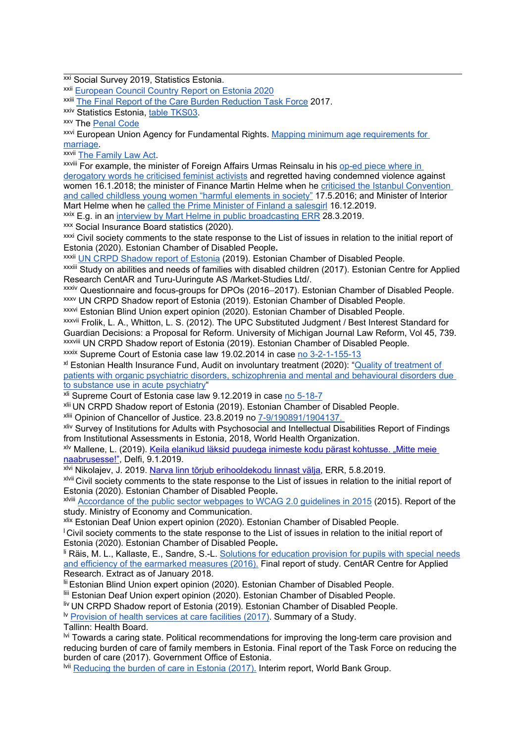<sup>xxi</sup> Social Survey 2019, Statistics Estonia.

<sup>xxii</sup> [European](https://eur-lex.europa.eu/legal-content/EN/TXT/HTML/?uri=CELEX:52020SC0505&from=EN) Council Country Report on Estonia 2020

<sup>xxiii</sup> The Final Report of the Care Burden [Reduction](https://www.riigikantselei.ee/sites/default/files/content-editors/Failid/hoolduskoormus/hoolduskoormuse_rakkeruhma_lopparuanne.pdf) Task Force 2017.

<sup>xxiv</sup> Statistics Estonia, <u>table [TKS03](http://andmebaas.stat.ee/?lang=et)</u>.

xxv The [Penal](https://www.riigiteataja.ee/en/eli/506032020002/consolide) Code

<sup>xxvi</sup> European Union Agency for Fundamental Rights. <u>Mapping minimum age [requirements](https://fra.europa.eu/en/publication/2017/mapping-minimum-age-requirements/marriage-age) for</u> [marriage](https://fra.europa.eu/en/publication/2017/mapping-minimum-age-requirements/marriage-age).

<sup>xxvii</sup> The [Family](https://www.riigiteataja.ee/en/eli/507022018005/consolide) Law Act.

<sup>xxviii</sup> For example, the minister of Foreign Affairs Urmas Reinsalu in his <u>[op-ed](https://epl.delfi.ee/arvamus/reinsalu-kaitseb-ojasood-aitab-lopetage-kanakarja-kambakas-kahetsen-et-tema-juhtumi-puhul-naistevastase-vagivalla-hukka-moistsin?id=80801805) piece where in</u> [derogatory](https://epl.delfi.ee/arvamus/reinsalu-kaitseb-ojasood-aitab-lopetage-kanakarja-kambakas-kahetsen-et-tema-juhtumi-puhul-naistevastase-vagivalla-hukka-moistsin?id=80801805) words he criticised feminist activists and regretted having condemned violence against women 16.1.2018; the minister of Finance Martin Helme when he criticised the Istanbul [Convention](https://epl.delfi.ee/eesti/martin-helme-istanbuli-konventsiooni-ainus-efekt-on-see-et-lasteaias-opetatakse-poisse-kleiti-kandma?id=74553915) and called childless young women "harmful [elements](https://epl.delfi.ee/eesti/martin-helme-istanbuli-konventsiooni-ainus-efekt-on-see-et-lasteaias-opetatakse-poisse-kleiti-kandma?id=74553915) in society" 17.5.2016; and Minister of Interior Mart Helme when he called the Prime Minister of Finland <sup>a</sup> [salesgirl](https://www.theguardian.com/world/2019/dec/16/estonian-minister-mocks-finlands-sales-girl-pm-sanna-marin) 16.12.2019.

<sup>xxix</sup> E.g. in an <u>interview by Mart Helme in public [broadcasting](https://www.err.ee/924875/mart-helme-ratas-voiks-enne-suveneda-kui-ekre-sonade-eest-vabandama-tottab) ERR</u> 28.3.2019.

xxx Social Insurance Board statistics (2020).

xxxi Civil society comments to the state response to the List of issues in relation to the initial report of Estonia (2020). Estonian Chamber of Disabled People**.**

xxxii UN CRPD [Shadow](https://tbinternet.ohchr.org/_layouts/15/treatybodyexternal/Download.aspx?symbolno=INT%2fCRPD%2fICO%2fEST%2f33965&Lang=en) report of Estonia (2019). Estonian Chamber of Disabled People.

<sup>xxxiii</sup> Study on abilities and needs of families with disabled children (2017). Estonian Centre for Applied Research CentAR and Turu-Uuringute AS /Market-Studies Ltd/.

xxxiv Questionnaire and focus-groups for DPOs (2016–2017). Estonian Chamber of Disabled People.

xxxv UN CRPD Shadow report of Estonia (2019). Estonian Chamber of Disabled People.

<sup>xxxvi</sup> Estonian Blind Union expert opinion (2020). Estonian Chamber of Disabled People.

<sup>xxxvii</sup> Frolik, L. A., Whitton, L. S. (2012). The UPC Substituted Judgment / Best Interest Standard for Guardian Decisions: <sup>a</sup> Proposal for Reform. University of Michigan Journal Law Reform, Vol 45, 739. xxxviii UN CRPD Shadow report of Estonia (2019). Estonian Chamber of Disabled People. <sup>xxxix</sup> Supreme Court of Estonia case law 19.02.2014 in case <u>no [3-2-1-155-13](https://www.riigikohus.ee/et/lahendid?asjaNr=3-2-1-155-13)</u>

<sup>xl</sup> Estonian Health Insurance Fund, Audit on involuntary [treatment](https://www.haigekassa.ee/partnerile/tervishoiuteenuste-kvaliteet/kliinilised-auditid#tab-auditid-2020) (2020): "<u>Quality of treatment of</u> patients with organic psychiatric disorders, [schizophrenia](https://www.haigekassa.ee/partnerile/tervishoiuteenuste-kvaliteet/kliinilised-auditid#tab-auditid-2020) and mental and behavioural disorders due to substance use in acute [psychiatry](https://www.haigekassa.ee/partnerile/tervishoiuteenuste-kvaliteet/kliinilised-auditid#tab-auditid-2020)"

<sup>xli</sup> Supreme Court of Estonia case law 9.12.2019 in case <u>no [5-18-7](https://www.riigikohus.ee/et/lahendid/?asjaNr=5-18-7/8)</u>

xlii UN CRPD Shadow report of Estonia (2019). Estonian Chamber of Disabled People.

xliii Opinion of Chancellor of Justice. 23.8.2019 no [7-9/190891/1904137.](https://www.oiguskantsler.ee/sites/default/files/field_document2/Kontrollk%C3%A4ik%20Sillam%C3%A4e%20Kodusse.pdf)

<sup>xliv</sup> Survey of Institutions for Adults with Psychosocial and Intellectual Disabilities Report of Findings from Institutional Assessments in Estonia, 2018, World Health Organization.

xlv Mallene, L. (2019). Keila elanikud läksid [puudega](https://epl.delfi.ee/eesti/keila-elanikud-laksid-puudega-inimeste-kodu-parast-kohtusse-mitte-meie-naabrusesse?id=84965657) inimeste kodu pärast kohtusse. "Mitte meie [naabrusesse!](https://epl.delfi.ee/eesti/keila-elanikud-laksid-puudega-inimeste-kodu-parast-kohtusse-mitte-meie-naabrusesse?id=84965657)", Delfi, 9.1.2019.

xlvi Nikolajev, J. 2019. Narva linn tõrjub [erihooldekodu](https://www.err.ee/967754/narva-linn-torjub-erihooldekodu-linnast-valja) linnast välja, ERR, 5.8.2019.

xlvii Civil society comments to the state response to the List of issues in relation to the initial report of Estonia (2020). Estonian Chamber of Disabled People**.**

<sup>xlviii</sup> <u>Accordance of the public sector [webpages](https://www.mkm.ee/sites/default/files/wcag_aruanne_2015.pdf) to WCAG 2.0 guidelines in 2015</u> (2015). Report of the study. Ministry of Economy and Communication.

<sup>xlix</sup> Estonian Deaf Union expert opinion (2020). Estonian Chamber of Disabled People.

 $\Gamma$  Civil society comments to the state response to the List of issues in relation to the initial report of Estonia (2020). Estonian Chamber of Disabled People**.**

<sup>li</sup> Räis, M. L., Kallaste, E., Sandre, S.-L. Solutions for education [provision](http://www.centar.ee/uus/wp-content/uploads/2017/01/P%C3%B5hiraport-final.pdf) for pupils with special needs and [efficiency](http://www.centar.ee/uus/wp-content/uploads/2017/01/P%C3%B5hiraport-final.pdf) of the earmarked measures (2016). Final report of study. CentAR Centre for Applied Research. Extract as of January 2018.

lii Estonian Blind Union expert opinion (2020). Estonian Chamber of Disabled People.

liii Estonian Deaf Union expert opinion (2020). Estonian Chamber of Disabled People.

liv UN CRPD Shadow report of Estonia (2019). Estonian Chamber of Disabled People.

<sup>Iv</sup> [Provision](http://www.terviseamet.ee/fileadmin/dok/Tervishoid/%20hooldeasutuste_uuring.pdf) of health services at care facilities (2017). Summary of a Study.

Tallinn: Health Board.

 $^{\mathsf{I} \mathsf{v} \mathsf{I}}$  Towards a caring state. Political recommendations for improving the long-term care provision and reducing burden of care of family members in Estonia. Final report of the Task Force on reducing the burden of care (2017). Government Office of Estonia.

lvii [Reducing](https://riigikantselei.ee/%20sites/default/files/content-editors/Failid/hoolduskoormus/estonia_ltc_%20report_final.pdf) the burden of care in Estonia (2017). Interim report, World Bank Group.